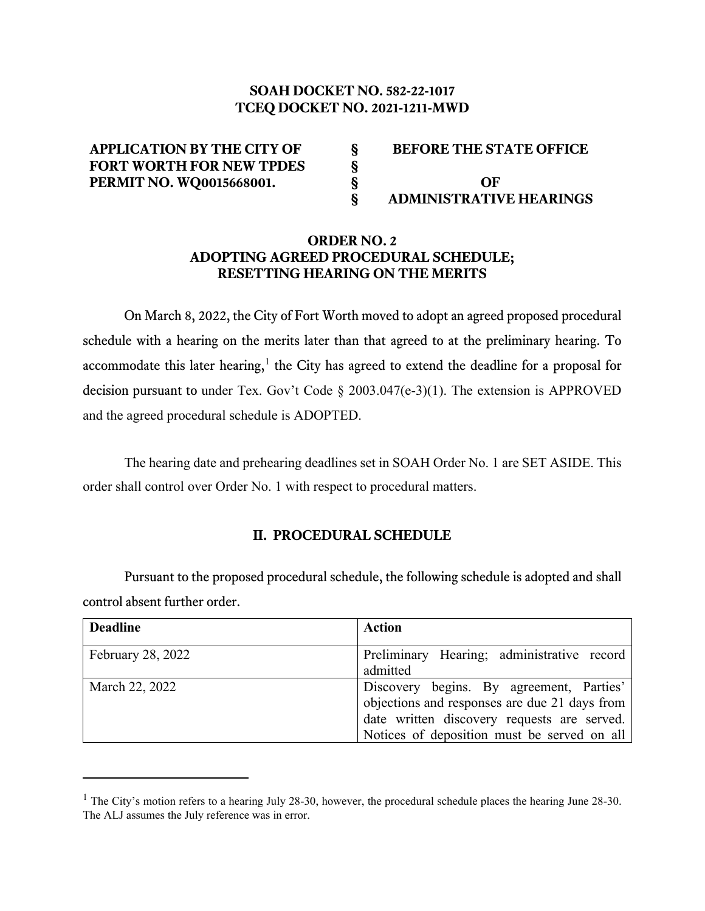# **SOAH DOCKET NO. 582-22-1017 TCEQ DOCKET NO. 2021-1211-MWD**

| <b>APPLICATION BY THE CITY OF</b> | <b>BEFORE THE STATE OFFICE</b> |
|-----------------------------------|--------------------------------|
| <b>FORT WORTH FOR NEW TPDES</b>   |                                |
| <b>PERMIT NO. WQ0015668001.</b>   | OF                             |
|                                   | <b>ADMINISTRATIVE HEARINGS</b> |

## **ORDER NO. 2 ADOPTING AGREED PROCEDURAL SCHEDULE; RESETTING HEARING ON THE MERITS**

On March 8, 2022, the City of Fort Worth moved to adopt an agreed proposed procedural schedule with a hearing on the merits later than that agreed to at the preliminary hearing. To accommodate this later hearing,<sup>[1](#page-0-0)</sup> the City has agreed to extend the deadline for a proposal for decision pursuant to under Tex. Gov't Code § 2003.047(e-3)(1). The extension is APPROVED and the agreed procedural schedule is ADOPTED.

The hearing date and prehearing deadlines set in SOAH Order No. 1 are SET ASIDE. This order shall control over Order No. 1 with respect to procedural matters.

### **II. PROCEDURAL SCHEDULE**

Pursuant to the proposed procedural schedule, the following schedule is adopted and shall control absent further order.

| <b>Deadline</b>          | <b>Action</b>                                 |
|--------------------------|-----------------------------------------------|
|                          |                                               |
| <b>February 28, 2022</b> | Preliminary Hearing; administrative record    |
|                          | admitted                                      |
| March 22, 2022           | Discovery begins. By agreement, Parties'      |
|                          | objections and responses are due 21 days from |
|                          | date written discovery requests are served.   |
|                          | Notices of deposition must be served on all   |

<span id="page-0-0"></span> $1$  The City's motion refers to a hearing July 28-30, however, the procedural schedule places the hearing June 28-30. The ALJ assumes the July reference was in error.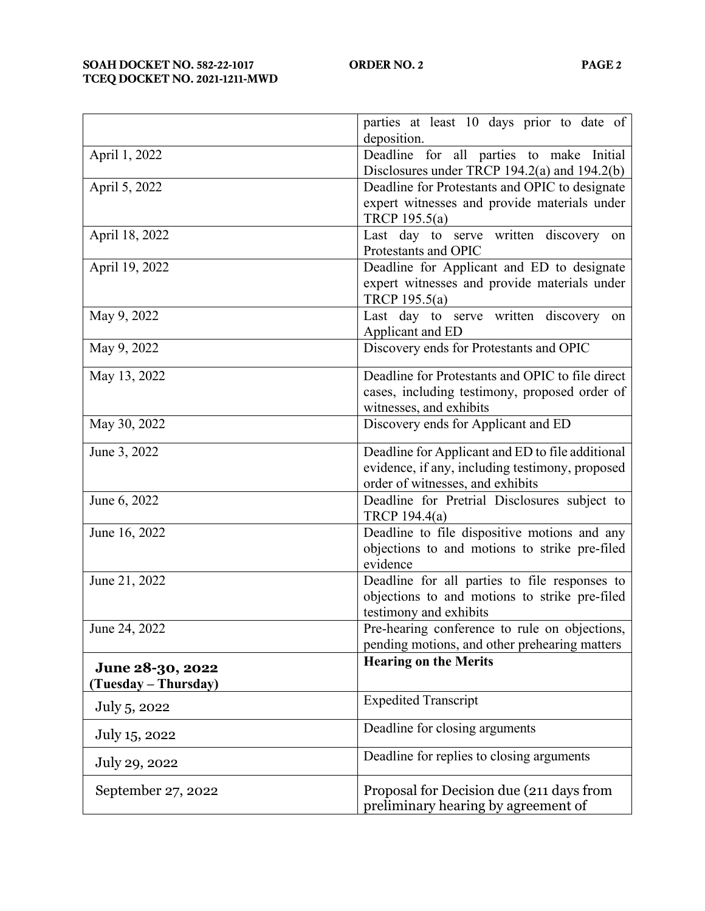|                                          | parties at least 10 days prior to date of<br>deposition.                                                                                |  |
|------------------------------------------|-----------------------------------------------------------------------------------------------------------------------------------------|--|
| April 1, 2022                            | Deadline for all parties to make Initial<br>Disclosures under TRCP 194.2(a) and 194.2(b)                                                |  |
| April 5, 2022                            | Deadline for Protestants and OPIC to designate<br>expert witnesses and provide materials under<br>TRCP 195.5(a)                         |  |
| April 18, 2022                           | Last day to serve written discovery on<br>Protestants and OPIC                                                                          |  |
| April 19, 2022                           | Deadline for Applicant and ED to designate<br>expert witnesses and provide materials under<br>TRCP 195.5(a)                             |  |
| May 9, 2022                              | Last day to serve written discovery on<br>Applicant and ED                                                                              |  |
| May 9, 2022                              | Discovery ends for Protestants and OPIC                                                                                                 |  |
| May 13, 2022                             | Deadline for Protestants and OPIC to file direct<br>cases, including testimony, proposed order of<br>witnesses, and exhibits            |  |
| May 30, 2022                             | Discovery ends for Applicant and ED                                                                                                     |  |
| June 3, 2022                             | Deadline for Applicant and ED to file additional<br>evidence, if any, including testimony, proposed<br>order of witnesses, and exhibits |  |
| June 6, 2022                             | Deadline for Pretrial Disclosures subject to<br>TRCP 194.4(a)                                                                           |  |
| June 16, 2022                            | Deadline to file dispositive motions and any<br>objections to and motions to strike pre-filed<br>evidence                               |  |
| June 21, 2022                            | Deadline for all parties to file responses to<br>objections to and motions to strike pre-filed<br>testimony and exhibits                |  |
| June 24, 2022                            | Pre-hearing conference to rule on objections,<br>pending motions, and other prehearing matters                                          |  |
| June 28-30, 2022<br>(Tuesday – Thursday) | <b>Hearing on the Merits</b>                                                                                                            |  |
| July 5, 2022                             | <b>Expedited Transcript</b>                                                                                                             |  |
| July 15, 2022                            | Deadline for closing arguments                                                                                                          |  |
| July 29, 2022                            | Deadline for replies to closing arguments                                                                                               |  |
| September 27, 2022                       | Proposal for Decision due (211 days from<br>preliminary hearing by agreement of                                                         |  |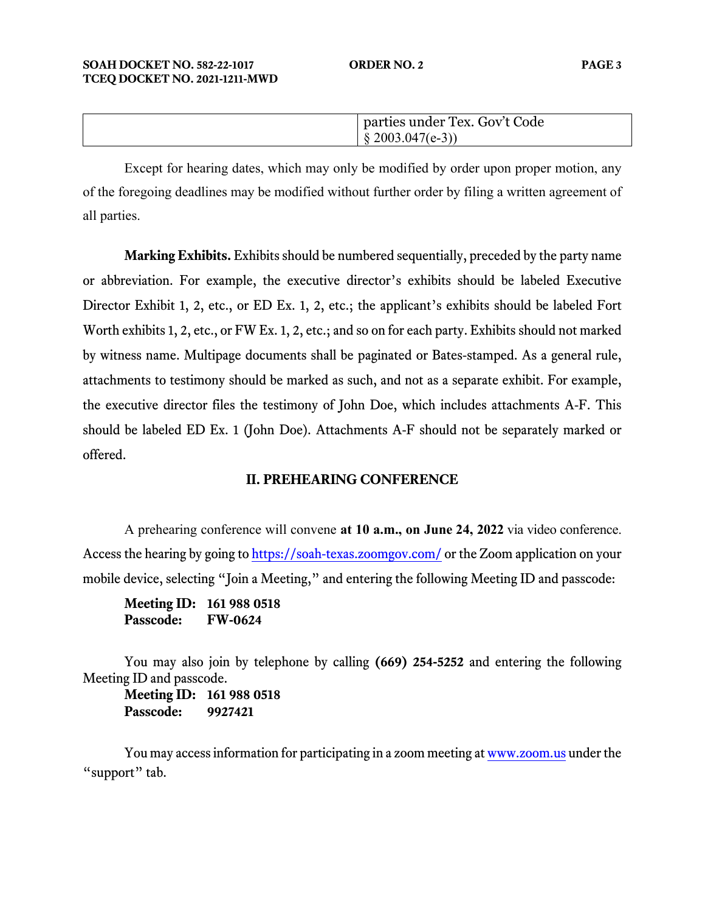| parties under Tex. Gov't Code |
|-------------------------------|
| $\{2003.047(e-3)\}$           |

 Except for hearing dates, which may only be modified by order upon proper motion, any of the foregoing deadlines may be modified without further order by filing a written agreement of all parties.

**Marking Exhibits.** Exhibits should be numbered sequentially, preceded by the party name or abbreviation. For example, the executive director's exhibits should be labeled Executive Director Exhibit 1, 2, etc., or ED Ex. 1, 2, etc.; the applicant's exhibits should be labeled Fort Worth exhibits 1, 2, etc., or FW Ex. 1, 2, etc.; and so on for each party. Exhibits should not marked by witness name. Multipage documents shall be paginated or Bates-stamped. As a general rule, attachments to testimony should be marked as such, and not as a separate exhibit. For example, the executive director files the testimony of John Doe, which includes attachments A-F. This should be labeled ED Ex. 1 (John Doe). Attachments A-F should not be separately marked or offered.

### **II. PREHEARING CONFERENCE**

A prehearing conference will convene **at 10 a.m., on June 24, 2022** via video conference. Access the hearing by going t[o https://soah-texas.zoomgov.com/](https://soahtexas.zoomgov.com/) or the Zoom application on your mobile device, selecting "Join a Meeting," and entering the following Meeting ID and passcode:

**Meeting ID: 161 988 0518 Passcode: FW-0624**

You may also join by telephone by calling **(669) 254-5252** and entering the following Meeting ID and passcode.

**Meeting ID: 161 988 0518 Passcode: 9927421**

You may access information for participating in a zoom meeting a[t www.zoom.us](http://www.zoom.us/) under the "support" tab.